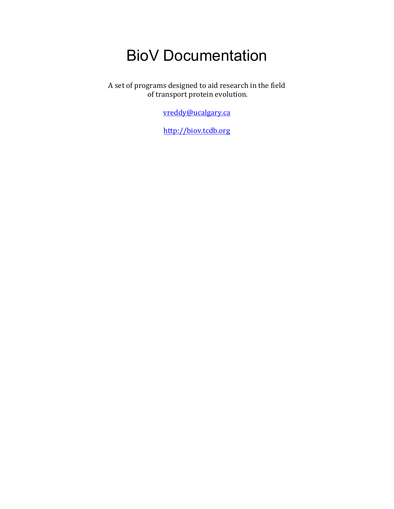# BioV Documentation

A set of programs designed to aid research in the field of transport protein evolution.

vreddy@ucalgary.ca

http://biov.tcdb.org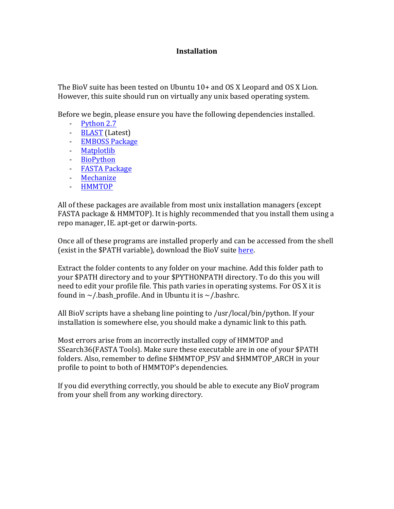# **Installation**

The BioV suite has been tested on Ubuntu  $10+$  and OS X Leopard and OS X Lion. However, this suite should run on virtually any unix based operating system.

Before we begin, please ensure you have the following dependencies installed.

- $-Pvthon 2.7$
- BLAST (Latest)
- EMBOSS Package
- Matplotlib
- BioPython
- FASTA Package
- Mechanize
- HMMTOP

All of these packages are available from most unix installation managers (except FASTA package & HMMTOP). It is highly recommended that you install them using a repo manager, IE. apt-get or darwin-ports.

Once all of these programs are installed properly and can be accessed from the shell (exist in the \$PATH variable), download the BioV suite here.

Extract the folder contents to any folder on your machine. Add this folder path to your \$PATH directory and to your \$PYTHONPATH directory. To do this you will need to edit your profile file. This path varies in operating systems. For OS X it is found in  $\sim$ /.bash profile. And in Ubuntu it is  $\sim$ /.bashrc.

All BioV scripts have a shebang line pointing to /usr/local/bin/python. If your installation is somewhere else, you should make a dynamic link to this path.

Most errors arise from an incorrectly installed copy of HMMTOP and SSearch36(FASTA Tools). Make sure these executable are in one of your \$PATH folders. Also, remember to define \$HMMTOP\_PSV and \$HMMTOP\_ARCH in your profile to point to both of HMMTOP's dependencies.

If you did everything correctly, you should be able to execute any BioV program from your shell from any working directory.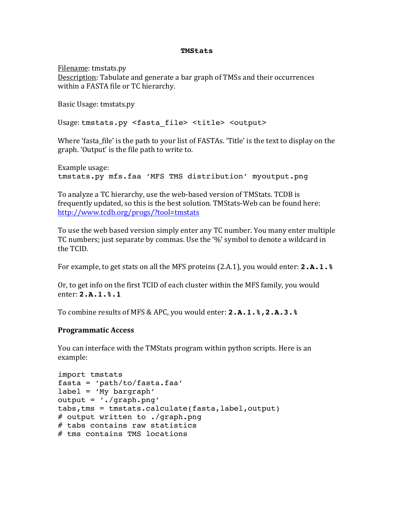#### **TMStats**

Filename: tmstats.py Description: Tabulate and generate a bar graph of TMSs and their occurrences within a FASTA file or TC hierarchy.

Basic Usage: tmstats.py

Usage: tmstats.py <fasta file> <title> <output>

Where 'fasta\_file' is the path to your list of FASTAs. 'Title' is the text to display on the graph. 'Output' is the file path to write to.

Example usage: tmstats.py mfs.faa 'MFS TMS distribution' myoutput.png

To analyze a TC hierarchy, use the web-based version of TMStats. TCDB is frequently updated, so this is the best solution. TMStats-Web can be found here: http://www.tcdb.org/progs/?tool=tmstats

To use the web based version simply enter any TC number. You many enter multiple TC numbers; just separate by commas. Use the '%' symbol to denote a wildcard in the!TCID.

For example, to get stats on all the MFS proteins (2.A.1), you would enter: **2.A.1.** &

Or, to get info on the first TCID of each cluster within the MFS family, you would enter:!**2.A.1.%.1**

To combine results of MFS & APC, you would enter: **2.A.1.%, 2.A.3.%** 

# **Programmatic)Access**

You can interface with the TMStats program within python scripts. Here is an example:

```
import tmstats
fasta = 'path/to/fasta.faa'
label = 'My bargraph'
output = './graph.png'
tabs,tms = tmstats.calculate(fasta,label,output)
# output written to ./graph.png
# tabs contains raw statistics
# tms contains TMS locations
```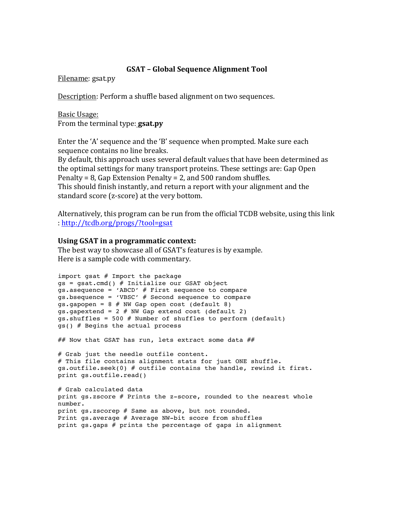# **GSAT – Global)Sequence)Alignment)Tool**

Filename: gsat.py

Description: Perform a shuffle based alignment on two sequences.

Basic Usage: From the terminal type: **gsat.py** 

Enter the 'A' sequence and the 'B' sequence when prompted. Make sure each sequence contains no line breaks.

By default, this approach uses several default values that have been determined as the optimal settings for many transport proteins. These settings are: Gap Open Penalty = 8, Gap Extension Penalty = 2, and  $500$  random shuffles. This should finish instantly, and return a report with your alignment and the

standard score (z-score) at the very bottom.

Alternatively, this program can be run from the official TCDB website, using this link :!http://tcdb.org/progs/?tool=gsat

# Using GSAT in a programmatic context:

The best way to showcase all of GSAT's features is by example. Here is a sample code with commentary.

```
import gsat # Import the package
gs = gsat.cmd() # Initialize our GSAT object
qs.asequence = 'ABCD' # First sequence to compare
gs.bsequence = 'VBSC' # Second sequence to compare
qs.gapopen = 8 \# NN Gap open cost (default 8)
gs.gapextend = 2 # NW Gap extend cost (default 2)
gs.shuffles = 500 # Number of shuffles to perform (default)
gs() # Begins the actual process
## Now that GSAT has run, lets extract some data ##
# Grab just the needle outfile content.
# This file contains alignment stats for just ONE shuffle.
gs.outfile.seek(0) # outfile contains the handle, rewind it first.print gs.outfile.read()
# Grab calculated data
print gs.zscore # Prints the z-score, rounded to the nearest whole 
number.
print gs.zscorep # Same as above, but not rounded.
Print gs.average # Average NW-bit score from shuffles
print gs.gaps # prints the percentage of gaps in alignment
```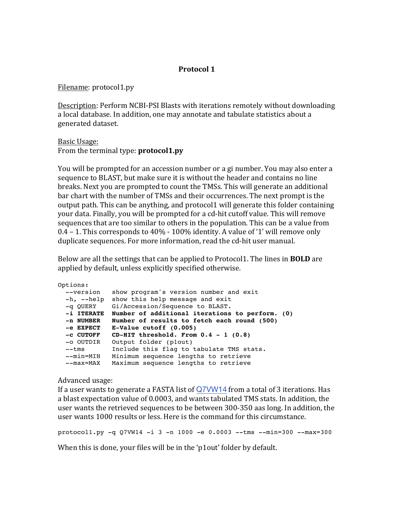# **Protocol)1**

Filename: protocol1.py

Description: Perform NCBI-PSI Blasts with iterations remotely without downloading a local database. In addition, one may annotate and tabulate statistics about a generated dataset.

Basic Usage: From the terminal type: **protocol1.py** 

You will be prompted for an accession number or a gi number. You may also enter a sequence to BLAST, but make sure it is without the header and contains no line breaks. Next you are prompted to count the TMSs. This will generate an additional bar chart with the number of TMSs and their occurrences. The next prompt is the output path. This can be anything, and protocol1 will generate this folder containing your data. Finally, you will be prompted for a cd-hit cutoff value. This will remove sequences that are too similar to others in the population. This can be a value from 0.4 – 1. This corresponds to  $40\%$  -  $100\%$  identity. A value of '1' will remove only duplicate sequences. For more information, read the cd-hit user manual.

Below are all the settings that can be applied to Protocol1. The lines in **BOLD** are applied by default, unless explicitly specified otherwise.

```
Options:
  --version show program's version number and exit
  -h, --help show this help message and exit
 -q QUERY Gi/Accession/Sequence to BLAST.
 -i ITERATE Number of additional iterations to perform. (0)
  -n NUMBER Number of results to fetch each round (500)
  -e EXPECT E-Value cutoff (0.005)
 -c CUTOFF CD-HIT threshold. From 0.4 - 1 (0.8)
 -o OUTDIR Output folder (p1out)
 --tms Include this flag to tabulate TMS stats.
 --min=MIN Minimum sequence lengths to retrieve
 --max=MAX Maximum sequence lengths to retrieve
```
Advanced usage:

If a user wants to generate a FASTA list of  $Q7VW14$  from a total of 3 iterations. Has a blast expectation value of 0.0003, and wants tabulated TMS stats. In addition, the user wants the retrieved sequences to be between 300-350 aas long. In addition, the user wants 1000 results or less. Here is the command for this circumstance.

protocol1.py  $-q$  Q7VW14  $-i$  3  $-n$  1000  $-e$  0.0003  $-$ tms  $-ni$ n=300  $-na$ x=300

When this is done, your files will be in the 'p1out' folder by default.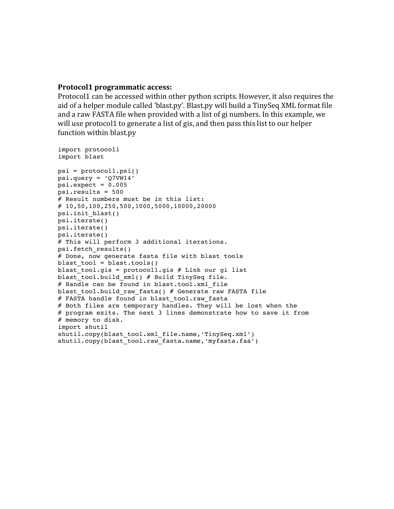#### **Protocol1)programmatic)access:**

Protocol1 can be accessed within other python scripts. However, it also requires the aid of a helper module called 'blast.py'. Blast.py will build a TinySeq XML format file and a raw FASTA file when provided with a list of gi numbers. In this example, we will use protocol1 to generate a list of gis, and then pass this list to our helper function within blast.py

```
import protocol1
import blast
psi = protocol1.psi()
psi.query = 'Q7VW14'
psi.expect = 0.005psi.results = 500
# Result numbers must be in this list:
# 10,50,100,250,500,1000,5000,10000,20000
psi.init_blast()
psi.iterate()
psi.iterate()
psi.iterate()
# This will perform 3 additional iterations.
psi.fetch_results()
# Done, now generate fasta file with blast tools
blast tool = blast.tools()
blast tool.gis = protocol1.gis # Link our gi list
blast tool.build xml() # Build TinySeq file.
# Handle can be found in blast.tool.xml file
blast tool.build raw fasta() # Generate raw FASTA file
# FASTA handle found in blast tool.raw fasta
# Both files are temporary handles. They will be lost when the
# program exits. The next 3 lines demonstrate how to save it from
# memory to disk.
import shutil
shutil.copy(blast tool.xml file.name,'TinySeq.xml')
shutil.copy(blast tool.raw fasta.name,'myfasta.faa')
```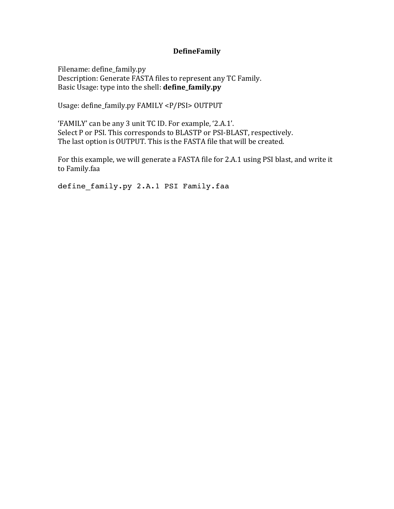# **DefineFamily**

Filename: define\_family.py Description: Generate FASTA files to represent any TC Family. Basic Usage: type into the shell: **define\_family.py** 

Usage: define\_family.py FAMILY <P/PSI> OUTPUT

'FAMILY' can be any 3 unit TC ID. For example, '2.A.1'. Select P or PSI. This corresponds to BLASTP or PSI-BLAST, respectively. The last option is OUTPUT. This is the FASTA file that will be created.

For this example, we will generate a FASTA file for 2.A.1 using PSI blast, and write it to Family.faa

define family.py 2.A.1 PSI Family.faa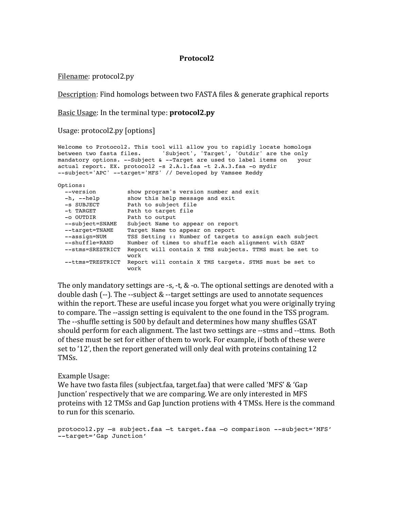## **Protocol2**

Filename: protocol2.py

Description: Find homologs between two FASTA files & generate graphical reports

Basic Usage: In the terminal type: **protocol2.py** 

Usage: protocol2.py [options]

```
Welcome to Protocol2. This tool will allow you to rapidly locate homologs
between two fasta files. 'Subject', 'Target', 'Outdir' are the only mandatory options. --Subject & --Target are used to label items on your
mandatory options. --Subject & --Target are used to label items on
actual report. EX. protocol2 -s 2.A.1.faa -t 2.A.3.faa -o mydir
--subject='APC' --target='MFS' // Developed by Vamsee Reddy
Options:
 --version show program's version number and exit
 -h, --help show this help message and exit
 -s SUBJECT Path to subject file
 -t TARGET Path to target file
 -o OUTDIR Path to output
 --subject=SNAME Subject Name to appear on report
 --target=TNAME Target Name to appear on report
 --assign=NUM TSS Setting :: Number of targets to assign each subject
  --shuffle=RAND Number of times to shuffle each alignment with GSAT
  --stms=SRESTRICT Report will contain X TMS subjects. TTMS must be set to
                     work
  --ttms=TRESTRICT Report will contain X TMS targets. STMS must be set to
                     work
```
The only mandatory settings are -s, -t,  $\&$  -o. The optional settings are denoted with a double dash  $(-)$ . The  $-$ -subject &  $-$ target settings are used to annotate sequences within the report. These are useful incase you forget what you were originally trying to compare. The --assign setting is equivalent to the one found in the TSS program. The --shuffle setting is 500 by default and determines how many shuffles GSAT should perform for each alignment. The last two settings are --stms and --ttms. Both of these must be set for either of them to work. For example, if both of these were set to '12', then the report generated will only deal with proteins containing 12 TMSs.

#### Example Usage:

We have two fasta files (subject.faa, target.faa) that were called 'MFS' & 'Gap Junction' respectively that we are comparing. We are only interested in MFS proteins with 12 TMSs and Gap Junction protiens with 4 TMSs. Here is the command to run for this scenario.

protocol2.py –s subject.faa –t target.faa –o comparison --subject='MFS' --target='Gap Junction'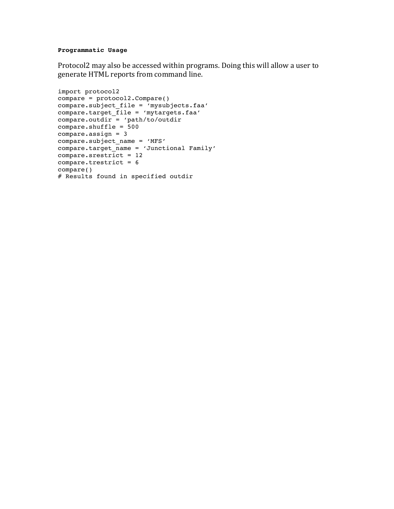#### **Programmatic Usage**

Protocol2 may also be accessed within programs. Doing this will allow a user to generate HTML reports from command line.

```
import protocol2
compare = protocol2.Compare()
compare.subject_file = 'mysubjects.faa'
compare.target_file = 'mytargets.faa'
compare.outdir = 'path/to/outdir
compare.shuffle = 500
compare.assign = 3
compare.subject_name = 'MFS'
compare.target_name = 'Junctional Family'
compare.srestrict = 12compare.trestrict = 6compare()
# Results found in specified outdir
```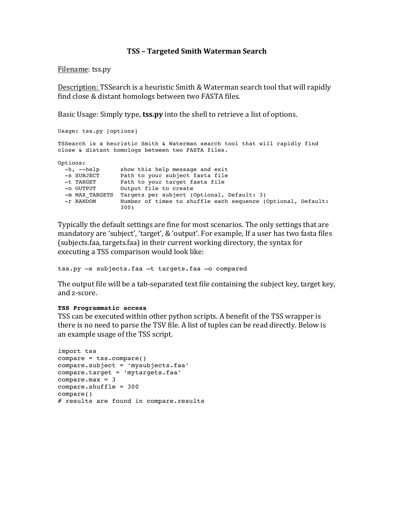## **TSS)– Targeted)Smith)Waterman)Search**

#### Filename: tss.py

Description: TSSearch is a heuristic Smith & Waterman search tool that will rapidly find close & distant homologs between two FASTA files.

Basic Usage: Simply type, **tss.py** into the shell to retrieve a list of options.

```
Usage: tss.py [options]
TSSearch is a heuristic Smith & Waterman search tool that will rapidly find
close & distant homologs between two FASTA files.
Options:
 -h, --help show this help message and exit
 -s SUBJECT Path to your subject fasta file
 -t TARGET Path to your target fasta file
 -o OUTPUT Output file to create
 -m MAX TARGETS Targets per subject (Optional, Default: 3)
  -r RANDOM Number of times to shuffle each sequence (Optional, Default:
                  300)
```
Typically the default settings are fine for most scenarios. The only settings that are mandatory are 'subject', 'target', & 'output'. For example, If a user has two fasta files (subjects.faa, targets.faa) in their current working directory, the syntax for executing a TSS comparison would look like:

tss.py –s subjects.faa –t targets.faa –o compared

The output file will be a tab-separated text file containing the subject key, target key, and z-score.

#### **TSS Programmatic access**

TSS can be executed within other python scripts. A benefit of the TSS wrapper is there is no need to parse the TSV file. A list of tuples can be read directly. Below is an example usage of the TSS script.

```
import tss
compare = tss.compare()
compare.subject = 'mysubjects.faa'
compare.target = 'mytargets.faa'
compare.max = 3
compare.shuffle = 300
compare()
# results are found in compare.results
```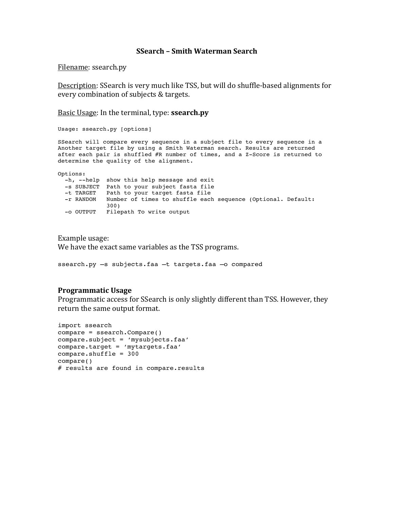#### **SSearch)– Smith)Waterman)Search**

Filename: ssearch.py

Description: SSearch is very much like TSS, but will do shuffle-based alignments for every combination of subjects & targets.

Basic Usage: In the terminal, type: **ssearch.py** 

Usage: ssearch.py [options]

SSearch will compare every sequence in a subject file to every sequence in a Another target file by using a Smith Waterman search. Results are returned after each pair is shuffled #R number of times, and a Z-Score is returned to determine the quality of the alignment.

Options:

 -h, --help show this help message and exit -s SUBJECT Path to your subject fasta file -t TARGET Path to your target fasta file -r RANDOM Number of times to shuffle each sequence (Optional. Default: 300) -o OUTPUT Filepath To write output

Example usage: We have the exact same variables as the TSS programs.

ssearch.py –s subjects.faa –t targets.faa –o compared

#### **Programmatic)Usage**

Programmatic access for SSearch is only slightly different than TSS. However, they return the same output format.

```
import ssearch
compare = ssearch.Compare()
compare.subject = 'mysubjects.faa'
compare.target = 'mytargets.faa'
compare.shuffle = 300
compare()
# results are found in compare.results
```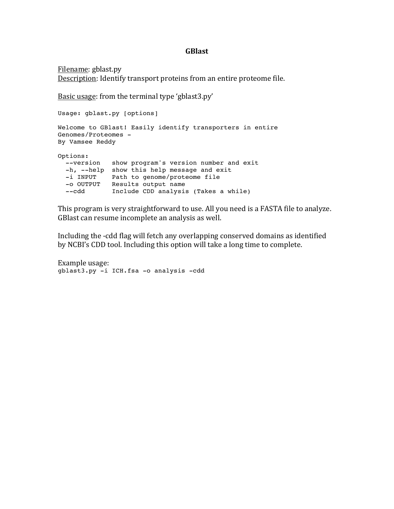## **GBlast**

Filename: gblast.py Description: Identify transport proteins from an entire proteome file.

Basic usage: from the terminal type 'gblast3.py'

```
Usage: gblast.py [options]
Welcome to GBlast! Easily identify transporters in entire 
Genomes/Proteomes -
By Vamsee Reddy
Options:
 --version show program's version number and exit
 -h, --help show this help message and exit
 -i INPUT Path to genome/proteome file
 -o OUTPUT Results output name
  --cdd Include CDD analysis (Takes a while)
```
This program is very straightforward to use. All you need is a FASTA file to analyze. GBlast can resume incomplete an analysis as well.

Including the -cdd flag will fetch any overlapping conserved domains as identified by NCBI's CDD tool. Including this option will take a long time to complete.

Example usage: gblast3.py -i ICH.fsa -o analysis -cdd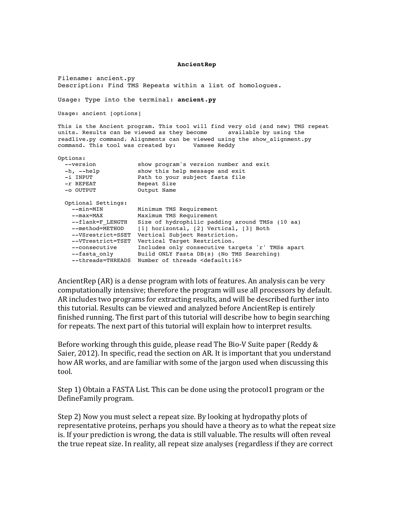**AncientRep**

Filename: ancient.py Description: Find TMS Repeats within a list of homologues.

Usage: Type into the terminal: **ancient.py**

Usage: ancient [options]

This is the Ancient program. This tool will find very old (and new) TMS repeat units. Results can be viewed as they become available by using the units. Results can be viewed as they become readlive.py command. Alignments can be viewed using the show\_alignment.py command. This tool was created by: Vamsee Reddy

Options:

| --version          | show program's version number and exit           |
|--------------------|--------------------------------------------------|
| $-h$ , $-$ help    | show this help message and exit                  |
| -i INPUT           | Path to your subject fasta file                  |
| -r REPEAT          | Repeat Size                                      |
| -o OUTPUT          | Output Name                                      |
| Optional Settings: |                                                  |
| --min=MIN          | Minimum TMS Requirement                          |
| --max=MAX          | Maximum TMS Requirement                          |
| --flank=F LENGTH   | Size of hydrophilic padding around TMSs (10 aa)  |
| --method=METHOD    | [1] horizontal, [2] Vertical, [3] Both           |
| --VSrestrict=SSET  | Vertical Subject Restriction.                    |
| --VTrestrict=TSET  | Vertical Target Restriction.                     |
| --consecutive      | Includes only consecutive targets 'r' TMSs apart |
| --fasta only       | Build ONLY Fasta DB(s) (No TMS Searching)        |
| --threads=THREADS  | Number of threads <default:16></default:16>      |
|                    |                                                  |

AncientRep (AR) is a dense program with lots of features. An analysis can be very computationally intensive; therefore the program will use all processors by default. AR includes two programs for extracting results, and will be described further into this tutorial. Results can be viewed and analyzed before AncientRep is entirely finished running. The first part of this tutorial will describe how to begin searching for repeats. The next part of this tutorial will explain how to interpret results.

Before working through this guide, please read The Bio-V Suite paper (Reddy & Saier, 2012). In specific, read the section on AR. It is important that you understand how AR works, and are familiar with some of the jargon used when discussing this tool.

Step 1) Obtain a FASTA List. This can be done using the protocol1 program or the DefineFamily!program.!

Step 2) Now you must select a repeat size. By looking at hydropathy plots of representative proteins, perhaps you should have a theory as to what the repeat size is. If your prediction is wrong, the data is still valuable. The results will often reveal the true repeat size. In reality, all repeat size analyses (regardless if they are correct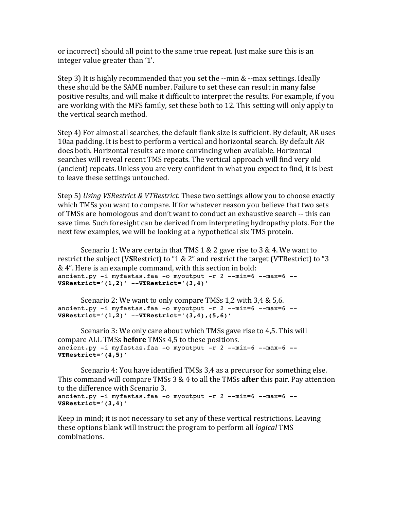or incorrect) should all point to the same true repeat. Just make sure this is an integer value greater than '1'.

Step 3) It is highly recommended that you set the  $-$ min &  $-$ max settings. Ideally these should be the SAME number. Failure to set these can result in many false positive results, and will make it difficult to interpret the results. For example, if you are working with the MFS family, set these both to 12. This setting will only apply to the vertical search method.

Step 4) For almost all searches, the default flank size is sufficient. By default, AR uses 10aa padding. It is best to perform a vertical and horizontal search. By default AR does both. Horizontal results are more convincing when available. Horizontal searches will reveal recent TMS repeats. The vertical approach will find very old (ancient) repeats. Unless you are very confident in what you expect to find, it is best to leave these settings untouched.

Step 5) *Using VSRestrict & VTRestrict.* These two settings allow you to choose exactly which TMSs you want to compare. If for whatever reason you believe that two sets of TMSs are homologous and don't want to conduct an exhaustive search -- this can save time. Such foresight can be derived from interpreting hydropathy plots. For the next few examples, we will be looking at a hypothetical six TMS protein.

Scenario 1: We are certain that TMS 1 & 2 gave rise to 3 & 4. We want to restrict the subject (VSRestrict) to "1 & 2" and restrict the target (VTRestrict) to "3 & 4". Here is an example command, with this section in bold: ancient.py -i myfastas.faa -o myoutput -r 2 --min=6 --max=6 **-- VSRestrict='(1,2)' --VTRestrict='(3,4)'**

Scenario 2: We want to only compare TMSs 1,2 with 3,4 & 5,6. ancient.py -i myfastas.faa -o myoutput -r 2 --min=6 --max=6 **-- VSRestrict='(1,2)' --VTRestrict='(3,4),(5,6)'**

Scenario 3: We only care about which TMSs gave rise to 4,5. This will compare ALL TMSs **before** TMSs 4.5 to these positions. ancient.py -i myfastas.faa -o myoutput -r 2 --min=6 --max=6 **-- VTRestrict='(4,5)'**

Scenario 4: You have identified TMSs 3,4 as a precursor for something else. This command will compare TMSs 3 & 4 to all the TMSs **after** this pair. Pay attention to the difference with Scenario 3.

```
ancient.py -i myfastas.faa -o myoutput -r 2 --min=6 --max=6 --
VSRestrict='(3,4)'
```
Keep in mind; it is not necessary to set any of these vertical restrictions. Leaving these options blank will instruct the program to perform all *logical* TMS combinations.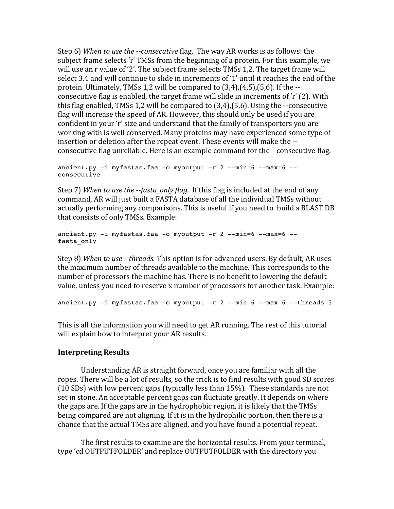Step 6) When to use the --consecutive flag. The way AR works is as follows: the subject frame selects 'r' TMSs from the beginning of a protein. For this example, we will use an r value of '2'. The subject frame selects TMSs 1.2. The target frame will select 3,4 and will continue to slide in increments of '1' until it reaches the end of the protein. Ultimately, TMSs 1,2 will be compared to  $(3,4)$ , $(4,5)$ , $(5,6)$ . If the -consecutive flag is enabled, the target frame will slide in increments of 'r' (2). With this flag enabled, TMSs 1,2 will be compared to  $(3,4)$ , $(5,6)$ . Using the --consecutive flag will increase the speed of AR. However, this should only be used if you are confident in your 'r' size and understand that the family of transporters you are working with is well conserved. Many proteins may have experienced some type of insertion or deletion after the repeat event. These events will make the -consecutive flag unreliable. Here is an example command for the --consecutive flag.

```
ancient.py -i myfastas.faa -o myoutput -r 2 --min=6 --max=6 --
consecutive
```
Step 7) *When to use the -fasta\_only flag.* If this flag is included at the end of any command, AR will just built a FASTA database of all the individual TMSs without actually performing any comparisons. This is useful if you need to build a BLAST DB that consists of only TMSs. Example:

```
ancient.py -i myfastas.faa -o myoutput -r 2 --min=6 --max=6 --
fasta_only
```
Step 8) *When to use --threads.* This option is for advanced users. By default, AR uses the maximum number of threads available to the machine. This corresponds to the number of processors the machine has. There is no benefit to lowering the default value, unless you need to reserve x number of processors for another task. Example:

```
ancient.py -i myfastas.faa -o myoutput -r 2 --min=6 --max=6 --threads=5
```
This is all the information you will need to get AR running. The rest of this tutorial will explain how to interpret your AR results.

# **Interpreting Results**

Understanding AR is straight forward, once you are familiar with all the ropes. There will be a lot of results, so the trick is to find results with good SD scores (10 SDs) with low percent gaps (typically less than  $15\%$ ). These standards are not set in stone. An acceptable percent gaps can fluctuate greatly. It depends on where the gaps are. If the gaps are in the hydrophobic region, it is likely that the TMSs being compared are not aligning. If it is in the hydrophilic portion, then there is a chance that the actual TMSs are aligned, and you have found a potential repeat.

The first results to examine are the horizontal results. From your terminal, type 'cd OUTPUTFOLDER' and replace OUTPUTFOLDER with the directory you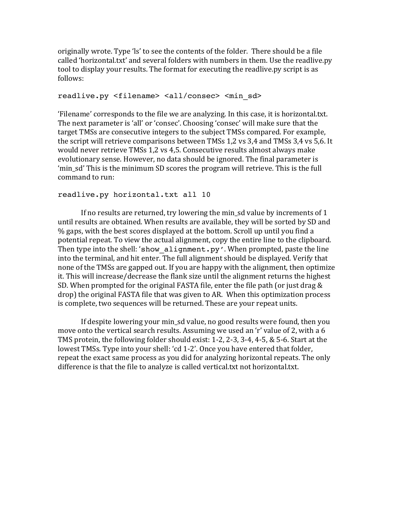originally wrote. Type 'ls' to see the contents of the folder. There should be a file called 'horizontal.txt' and several folders with numbers in them. Use the readlive.py tool to display your results. The format for executing the readlive.py script is as follows:

## readlive.py <filename> <all/consec> <min\_sd>

'Filename' corresponds to the file we are analyzing. In this case, it is horizontal.txt. The next parameter is 'all' or 'consec'. Choosing 'consec' will make sure that the target TMSs are consecutive integers to the subject TMSs compared. For example, the script will retrieve comparisons between TMSs 1,2 vs 3,4 and TMSs 3,4 vs 5,6. It would never retrieve TMSs 1,2 vs 4,5. Consecutive results almost always make evolutionary sense. However, no data should be ignored. The final parameter is 'min\_sd' This is the minimum SD scores the program will retrieve. This is the full command to run:

## readlive.py horizontal.txt all 10

If no results are returned, try lowering the min\_sd value by increments of  $1$ until results are obtained. When results are available, they will be sorted by SD and % gaps, with the best scores displayed at the bottom. Scroll up until you find a potential repeat. To view the actual alignment, copy the entire line to the clipboard. Then type into the shell: 'show alignment.py'. When prompted, paste the line into the terminal, and hit enter. The full alignment should be displayed. Verify that none of the TMSs are gapped out. If you are happy with the alignment, then optimize it. This will increase/decrease the flank size until the alignment returns the highest SD. When prompted for the original FASTA file, enter the file path (or just drag  $&$ drop) the original FASTA file that was given to AR. When this optimization process is complete, two sequences will be returned. These are your repeat units.

If despite lowering your min\_sd value, no good results were found, then you move onto the vertical search results. Assuming we used an 'r' value of 2, with a 6 TMS protein, the following folder should exist:  $1-2$ ,  $2-3$ ,  $3-4$ ,  $4-5$ ,  $& 5-6$ . Start at the lowest TMSs. Type into your shell: 'cd 1-2'. Once you have entered that folder, repeat the exact same process as you did for analyzing horizontal repeats. The only difference is that the file to analyze is called vertical.txt not horizontal.txt.